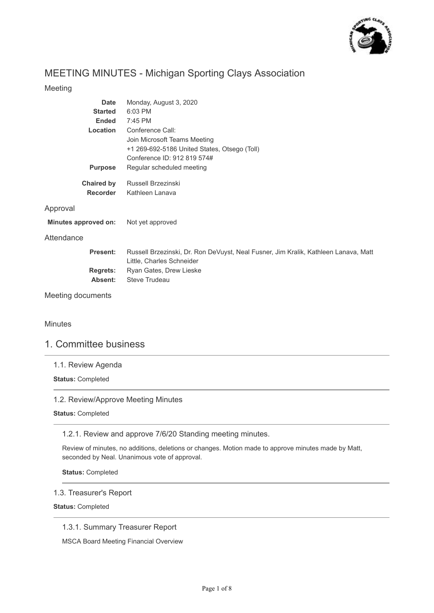

# MEETING MINUTES - Michigan Sporting Clays Association

## Meeting

| <b>Date</b>          | Monday, August 3, 2020                                                                                           |
|----------------------|------------------------------------------------------------------------------------------------------------------|
| <b>Started</b>       | 6:03 PM                                                                                                          |
| <b>Ended</b>         | 7:45 PM                                                                                                          |
| Location             | Conference Call:                                                                                                 |
|                      | Join Microsoft Teams Meeting                                                                                     |
|                      | +1 269-692-5186 United States, Otsego (Toll)                                                                     |
|                      | Conference ID: 912 819 574#                                                                                      |
| <b>Purpose</b>       | Regular scheduled meeting                                                                                        |
| <b>Chaired by</b>    | Russell Brzezinski                                                                                               |
| <b>Recorder</b>      | Kathleen Lanava                                                                                                  |
| Approval             |                                                                                                                  |
| Minutes approved on: | Not yet approved                                                                                                 |
| Attendance           |                                                                                                                  |
| <b>Present:</b>      | Russell Brzezinski, Dr. Ron DeVuyst, Neal Fusner, Jim Kralik, Kathleen Lanava, Matt<br>Little, Charles Schneider |
| <b>Regrets:</b>      | Ryan Gates, Drew Lieske                                                                                          |
| Absent:              | Steve Trudeau                                                                                                    |
| Meeting documents    |                                                                                                                  |

Minutes

## 1. Committee business

## 1.1. Review Agenda

**Status:** Completed

## 1.2. Review/Approve Meeting Minutes

**Status:** Completed

1.2.1. Review and approve 7/6/20 Standing meeting minutes.

Review of minutes, no additions, deletions or changes. Motion made to approve minutes made by Matt, seconded by Neal. Unanimous vote of approval.

**Status:** Completed

### 1.3. Treasurer's Report

**Status:** Completed

1.3.1. Summary Treasurer Report

MSCA Board Meeting Financial Overview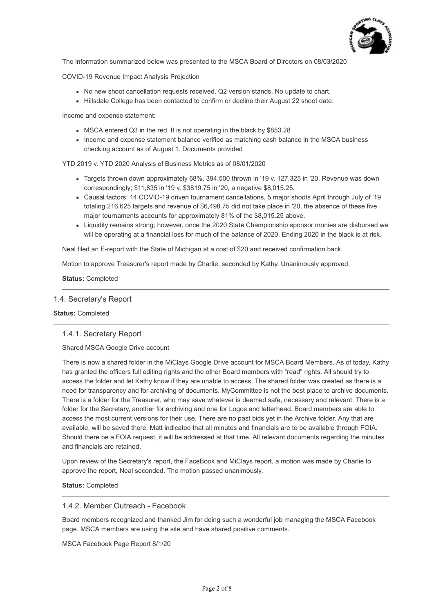

The information summarized below was presented to the MSCA Board of Directors on 08/03/2020

COVID-19 Revenue Impact Analysis Projection

- No new shoot cancellation requests received. Q2 version stands. No update to chart.
- Hillsdale College has been contacted to confirm or decline their August 22 shoot date.

Income and expense statement:

- MSCA entered Q3 in the red. It is not operating in the black by \$853.28
- Income and expense statement balance verified as matching cash balance in the MSCA business checking account as of August 1. Documents provided

YTD 2019 v. YTD 2020 Analysis of Business Metrics as of 08/01/2020

- Targets thrown down approximately 68%. 394,500 thrown in '19 v. 127,325 in '20. Revenue was down correspondingly; \$11,835 in '19 v. \$3819.75 in '20, a negative \$8,015.25.
- Causal factors: 14 COVID-19 driven tournament cancellations, 5 major shoots April through July of '19 totaling 216,625 targets and revenue of \$6,498.75 did not take place in '20. the absence of these five major tournaments accounts for approximately 81% of the \$8,015.25 above.
- Liquidity remains strong; however, once the 2020 State Championship sponsor monies are disbursed we will be operating at a financial loss for much of the balance of 2020. Ending 2020 in the black is at risk.

Neal filed an E-report with the State of Michigan at a cost of \$20 and received confirmation back.

Motion to approve Treasurer's report made by Charlie, seconded by Kathy. Unanimously approved.

**Status:** Completed

#### 1.4. Secretary's Report

#### **Status:** Completed

#### 1.4.1. Secretary Report

#### Shared MSCA Google Drive account

There is now a shared folder in the MiClays Google Drive account for MSCA Board Members. As of today, Kathy has granted the officers full editing rights and the other Board members with "read" rights. All should try to access the folder and let Kathy know if they are unable to access. The shared folder was created as there is a need for transparency and for archiving of documents. MyCommittee is not the best place to archive documents. There is a folder for the Treasurer, who may save whatever is deemed safe, necessary and relevant. There is a folder for the Secretary, another for archiving and one for Logos and letterhead. Board members are able to access the most current versions for their use. There are no past bids yet in the Archive folder. Any that are available, will be saved there. Matt indicated that all minutes and financials are to be available through FOIA. Should there be a FOIA request, it will be addressed at that time. All relevant documents regarding the minutes and financials are retained.

Upon review of the Secretary's report, the FaceBook and MiClays report, a motion was made by Charlie to approve the report, Neal seconded. The motion passed unanimously.

**Status:** Completed

## 1.4.2. Member Outreach - Facebook

Board members recognized and thanked Jim for doing such a wonderful job managing the MSCA Facebook page. MSCA members are using the site and have shared positive comments.

MSCA Facebook Page Report 8/1/20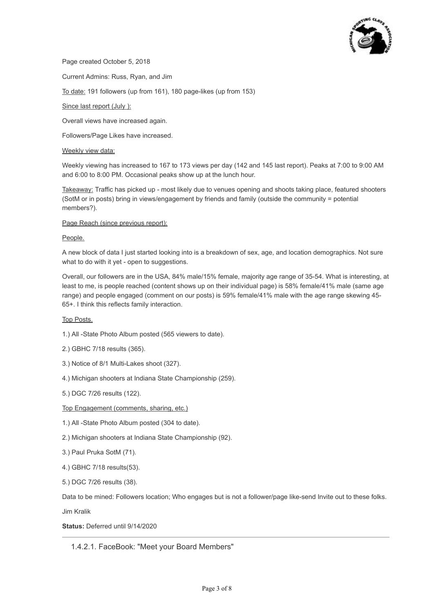

Page created October 5, 2018

Current Admins: Russ, Ryan, and Jim

To date: 191 followers (up from 161), 180 page-likes (up from 153)

#### Since last report (July ):

Overall views have increased again.

Followers/Page Likes have increased.

#### Weekly view data:

Weekly viewing has increased to 167 to 173 views per day (142 and 145 last report). Peaks at 7:00 to 9:00 AM and 6:00 to 8:00 PM. Occasional peaks show up at the lunch hour.

Takeaway: Traffic has picked up - most likely due to venues opening and shoots taking place, featured shooters (SotM or in posts) bring in views/engagement by friends and family (outside the community = potential members?).

#### Page Reach (since previous report):

#### People.

A new block of data I just started looking into is a breakdown of sex, age, and location demographics. Not sure what to do with it yet - open to suggestions.

Overall, our followers are in the USA, 84% male/15% female, majority age range of 35-54. What is interesting, at least to me, is people reached (content shows up on their individual page) is 58% female/41% male (same age range) and people engaged (comment on our posts) is 59% female/41% male with the age range skewing 45- 65+. I think this reflects family interaction.

#### Top Posts.

- 1.) All -State Photo Album posted (565 viewers to date).
- 2.) GBHC 7/18 results (365).
- 3.) Notice of 8/1 Multi-Lakes shoot (327).
- 4.) Michigan shooters at Indiana State Championship (259).
- 5.) DGC 7/26 results (122).

#### Top Engagement (comments, sharing, etc.)

- 1.) All -State Photo Album posted (304 to date).
- 2.) Michigan shooters at Indiana State Championship (92).
- 3.) Paul Pruka SotM (71).
- 4.) GBHC 7/18 results(53).
- 5.) DGC 7/26 results (38).

Data to be mined: Followers location; Who engages but is not a follower/page like-send Invite out to these folks.

Jim Kralik

**Status:** Deferred until 9/14/2020

## 1.4.2.1. FaceBook: "Meet your Board Members"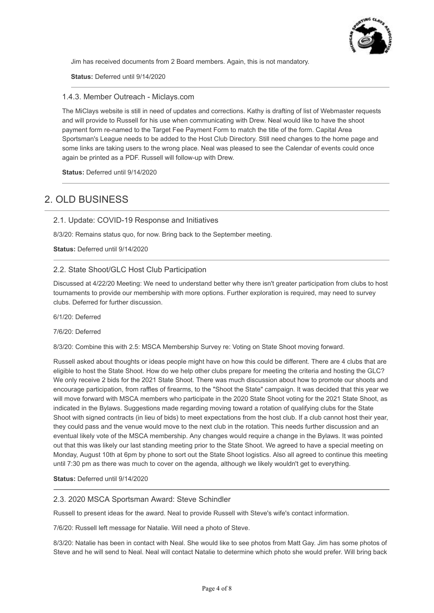

Jim has received documents from 2 Board members. Again, this is not mandatory.

**Status:** Deferred until 9/14/2020

#### 1.4.3. Member Outreach - Miclays.com

The MiClays website is still in need of updates and corrections. Kathy is drafting of list of Webmaster requests and will provide to Russell for his use when communicating with Drew. Neal would like to have the shoot payment form re-named to the Target Fee Payment Form to match the title of the form. Capital Area Sportsman's League needs to be added to the Host Club Directory. Still need changes to the home page and some links are taking users to the wrong place. Neal was pleased to see the Calendar of events could once again be printed as a PDF. Russell will follow-up with Drew.

**Status:** Deferred until 9/14/2020

# 2. OLD BUSINESS

#### 2.1. Update: COVID-19 Response and Initiatives

8/3/20: Remains status quo, for now. Bring back to the September meeting.

**Status:** Deferred until 9/14/2020

## 2.2. State Shoot/GLC Host Club Participation

Discussed at 4/22/20 Meeting: We need to understand better why there isn't greater participation from clubs to host tournaments to provide our membership with more options. Further exploration is required, may need to survey clubs. Deferred for further discussion.

6/1/20: Deferred

7/6/20: Deferred

8/3/20: Combine this with 2.5: MSCA Membership Survey re: Voting on State Shoot moving forward.

Russell asked about thoughts or ideas people might have on how this could be different. There are 4 clubs that are eligible to host the State Shoot. How do we help other clubs prepare for meeting the criteria and hosting the GLC? We only receive 2 bids for the 2021 State Shoot. There was much discussion about how to promote our shoots and encourage participation, from raffles of firearms, to the "Shoot the State" campaign. It was decided that this year we will move forward with MSCA members who participate in the 2020 State Shoot voting for the 2021 State Shoot, as indicated in the Bylaws. Suggestions made regarding moving toward a rotation of qualifying clubs for the State Shoot with signed contracts (in lieu of bids) to meet expectations from the host club. If a club cannot host their year, they could pass and the venue would move to the next club in the rotation. This needs further discussion and an eventual likely vote of the MSCA membership. Any changes would require a change in the Bylaws. It was pointed out that this was likely our last standing meeting prior to the State Shoot. We agreed to have a special meeting on Monday, August 10th at 6pm by phone to sort out the State Shoot logistics. Also all agreed to continue this meeting until 7:30 pm as there was much to cover on the agenda, although we likely wouldn't get to everything.

#### **Status:** Deferred until 9/14/2020

### 2.3. 2020 MSCA Sportsman Award: Steve Schindler

Russell to present ideas for the award. Neal to provide Russell with Steve's wife's contact information.

7/6/20: Russell left message for Natalie. Will need a photo of Steve.

8/3/20: Natalie has been in contact with Neal. She would like to see photos from Matt Gay. Jim has some photos of Steve and he will send to Neal. Neal will contact Natalie to determine which photo she would prefer. Will bring back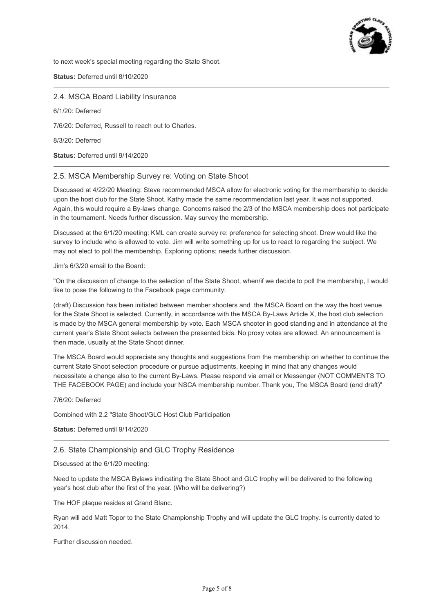

to next week's special meeting regarding the State Shoot.

**Status:** Deferred until 8/10/2020

2.4. MSCA Board Liability Insurance

6/1/20: Deferred

7/6/20: Deferred, Russell to reach out to Charles.

8/3/20: Deferred

**Status:** Deferred until 9/14/2020

#### 2.5. MSCA Membership Survey re: Voting on State Shoot

Discussed at 4/22/20 Meeting: Steve recommended MSCA allow for electronic voting for the membership to decide upon the host club for the State Shoot. Kathy made the same recommendation last year. It was not supported. Again, this would require a By-laws change. Concerns raised the 2/3 of the MSCA membership does not participate in the tournament. Needs further discussion. May survey the membership.

Discussed at the 6/1/20 meeting: KML can create survey re: preference for selecting shoot. Drew would like the survey to include who is allowed to vote. Jim will write something up for us to react to regarding the subject. We may not elect to poll the membership. Exploring options; needs further discussion.

#### Jim's 6/3/20 email to the Board:

"On the discussion of change to the selection of the State Shoot, when/if we decide to poll the membership, I would like to pose the following to the Facebook page community:

(draft) Discussion has been initiated between member shooters and the MSCA Board on the way the host venue for the State Shoot is selected. Currently, in accordance with the MSCA By-Laws Article X, the host club selection is made by the MSCA general membership by vote. Each MSCA shooter in good standing and in attendance at the current year's State Shoot selects between the presented bids. No proxy votes are allowed. An announcement is then made, usually at the State Shoot dinner.

The MSCA Board would appreciate any thoughts and suggestions from the membership on whether to continue the current State Shoot selection procedure or pursue adjustments, keeping in mind that any changes would necessitate a change also to the current By-Laws. Please respond via email or Messenger (NOT COMMENTS TO THE FACEBOOK PAGE) and include your NSCA membership number. Thank you, The MSCA Board (end draft)"

7/6/20: Deferred

Combined with 2.2 "State Shoot/GLC Host Club Participation

**Status:** Deferred until 9/14/2020

## 2.6. State Championship and GLC Trophy Residence

Discussed at the 6/1/20 meeting:

Need to update the MSCA Bylaws indicating the State Shoot and GLC trophy will be delivered to the following year's host club after the first of the year. (Who will be delivering?)

The HOF plaque resides at Grand Blanc.

Ryan will add Matt Topor to the State Championship Trophy and will update the GLC trophy. Is currently dated to 2014.

Further discussion needed.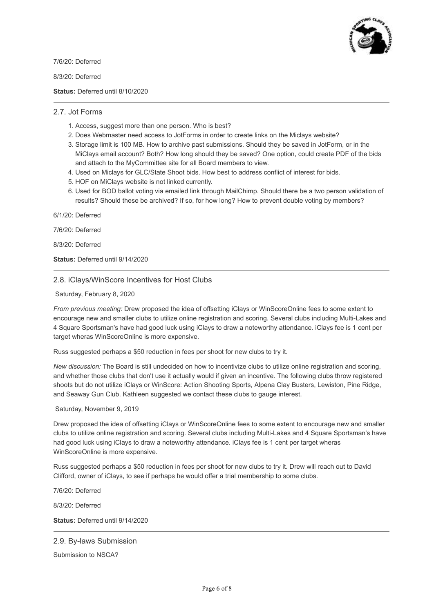

7/6/20: Deferred

8/3/20: Deferred

**Status:** Deferred until 8/10/2020

#### 2.7. Jot Forms

- 1. Access, suggest more than one person. Who is best?
- 2. Does Webmaster need access to JotForms in order to create links on the Miclays website?
- 3. Storage limit is 100 MB. How to archive past submissions. Should they be saved in JotForm, or in the MiClays email account? Both? How long should they be saved? One option, could create PDF of the bids and attach to the MyCommittee site for all Board members to view.
- 4. Used on Miclays for GLC/State Shoot bids. How best to address conflict of interest for bids.
- 5. HOF on MiClays website is not linked currently.
- 6. Used for BOD ballot voting via emailed link through MailChimp. Should there be a two person validation of results? Should these be archived? If so, for how long? How to prevent double voting by members?

6/1/20: Deferred

7/6/20: Deferred

8/3/20: Deferred

**Status:** Deferred until 9/14/2020

## 2.8. iClays/WinScore Incentives for Host Clubs

Saturday, February 8, 2020

*From previous meeting:* Drew proposed the idea of offsetting iClays or WinScoreOnline fees to some extent to encourage new and smaller clubs to utilize online registration and scoring. Several clubs including Multi-Lakes and 4 Square Sportsman's have had good luck using iClays to draw a noteworthy attendance. iClays fee is 1 cent per target wheras WinScoreOnline is more expensive.

Russ suggested perhaps a \$50 reduction in fees per shoot for new clubs to try it.

*New discussion:* The Board is still undecided on how to incentivize clubs to utilize online registration and scoring, and whether those clubs that don't use it actually would if given an incentive. The following clubs throw registered shoots but do not utilize iClays or WinScore: Action Shooting Sports, Alpena Clay Busters, Lewiston, Pine Ridge, and Seaway Gun Club. Kathleen suggested we contact these clubs to gauge interest.

#### Saturday, November 9, 2019

Drew proposed the idea of offsetting iClays or WinScoreOnline fees to some extent to encourage new and smaller clubs to utilize online registration and scoring. Several clubs including Multi-Lakes and 4 Square Sportsman's have had good luck using iClays to draw a noteworthy attendance. iClays fee is 1 cent per target wheras WinScoreOnline is more expensive.

Russ suggested perhaps a \$50 reduction in fees per shoot for new clubs to try it. Drew will reach out to David Clifford, owner of iClays, to see if perhaps he would offer a trial membership to some clubs.

7/6/20: Deferred

8/3/20: Deferred

**Status:** Deferred until 9/14/2020

#### 2.9. By-laws Submission

Submission to NSCA?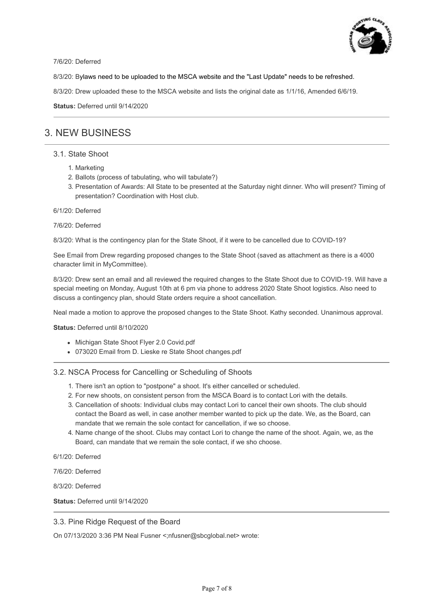

7/6/20: Deferred

8/3/20: Bylaws need to be uploaded to the MSCA website and the "Last Update" needs to be refreshed.

8/3/20: Drew uploaded these to the MSCA website and lists the original date as 1/1/16, Amended 6/6/19.

**Status:** Deferred until 9/14/2020

# 3. NEW BUSINESS

#### 3.1. State Shoot

- 1. Marketing
- 2. Ballots (process of tabulating, who will tabulate?)
- 3. Presentation of Awards: All State to be presented at the Saturday night dinner. Who will present? Timing of presentation? Coordination with Host club.

6/1/20: Deferred

#### 7/6/20: Deferred

8/3/20: What is the contingency plan for the State Shoot, if it were to be cancelled due to COVID-19?

See Email from Drew regarding proposed changes to the State Shoot (saved as attachment as there is a 4000 character limit in MyCommittee).

8/3/20: Drew sent an email and all reviewed the required changes to the State Shoot due to COVID-19. Will have a special meeting on Monday, August 10th at 6 pm via phone to address 2020 State Shoot logistics. Also need to discuss a contingency plan, should State orders require a shoot cancellation.

Neal made a motion to approve the proposed changes to the State Shoot. Kathy seconded. Unanimous approval.

#### **Status:** Deferred until 8/10/2020

- Michigan State Shoot Flyer 2.0 Covid.pdf
- 073020 Email from D. Lieske re State Shoot changes.pdf

## 3.2. NSCA Process for Cancelling or Scheduling of Shoots

- 1. There isn't an option to "postpone" a shoot. It's either cancelled or scheduled.
- 2. For new shoots, on consistent person from the MSCA Board is to contact Lori with the details.
- 3. Cancellation of shoots: Individual clubs may contact Lori to cancel their own shoots. The club should contact the Board as well, in case another member wanted to pick up the date. We, as the Board, can mandate that we remain the sole contact for cancellation, if we so choose.
- 4. Name change of the shoot. Clubs may contact Lori to change the name of the shoot. Again, we, as the Board, can mandate that we remain the sole contact, if we sho choose.

6/1/20: Deferred

7/6/20: Deferred

8/3/20: Deferred

**Status:** Deferred until 9/14/2020

## 3.3. Pine Ridge Request of the Board

On 07/13/2020 3:36 PM Neal Fusner <;nfusner@sbcglobal.net> wrote: